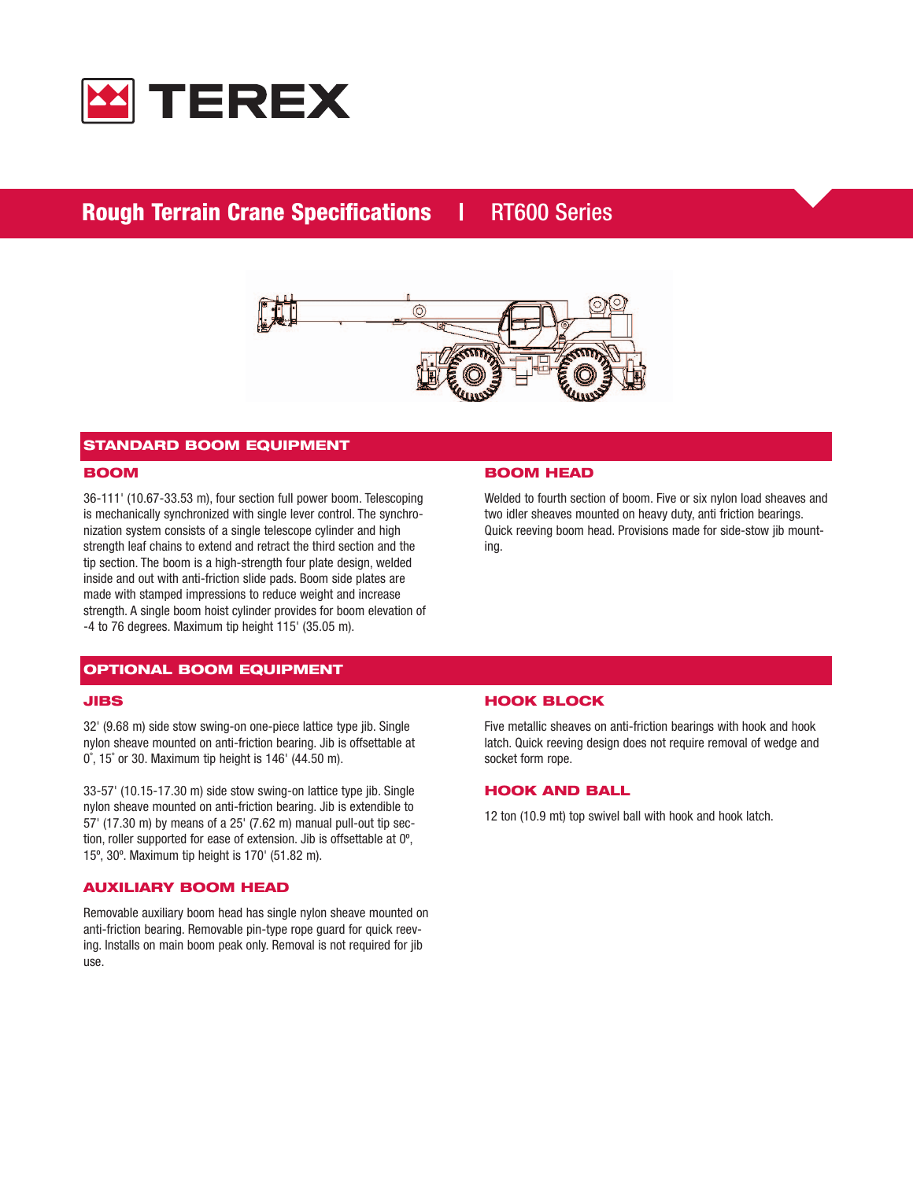

# **Rough Terrain Crane Specifications | RT600 Series**



# **STANDARD BOOM EQUIPMENT**

### **BOOM**

36-111' (10.67-33.53 m), four section full power boom. Telescoping is mechanically synchronized with single lever control. The synchronization system consists of a single telescope cylinder and high strength leaf chains to extend and retract the third section and the tip section. The boom is a high-strength four plate design, welded inside and out with anti-friction slide pads. Boom side plates are made with stamped impressions to reduce weight and increase strength. A single boom hoist cylinder provides for boom elevation of -4 to 76 degrees. Maximum tip height 115' (35.05 m).

# **OPTIONAL BOOM EQUIPMENT**

#### **JIBS**

32' (9.68 m) side stow swing-on one-piece lattice type jib. Single nylon sheave mounted on anti-friction bearing. Jib is offsettable at 0˚, 15˚ or 30. Maximum tip height is 146' (44.50 m).

33-57' (10.15-17.30 m) side stow swing-on lattice type jib. Single nylon sheave mounted on anti-friction bearing. Jib is extendible to 57' (17.30 m) by means of a 25' (7.62 m) manual pull-out tip section, roller supported for ease of extension. Jib is offsettable at 0º, 15º, 30º. Maximum tip height is 170' (51.82 m).

#### **AUXILIARY BOOM HEAD**

Removable auxiliary boom head has single nylon sheave mounted on anti-friction bearing. Removable pin-type rope guard for quick reeving. Installs on main boom peak only. Removal is not required for jib use.

#### **BOOM HEAD**

Welded to fourth section of boom. Five or six nylon load sheaves and two idler sheaves mounted on heavy duty, anti friction bearings. Quick reeving boom head. Provisions made for side-stow jib mounting.

#### **HOOK BLOCK**

Five metallic sheaves on anti-friction bearings with hook and hook latch. Quick reeving design does not require removal of wedge and socket form rope.

### **HOOK AND BALL**

12 ton (10.9 mt) top swivel ball with hook and hook latch.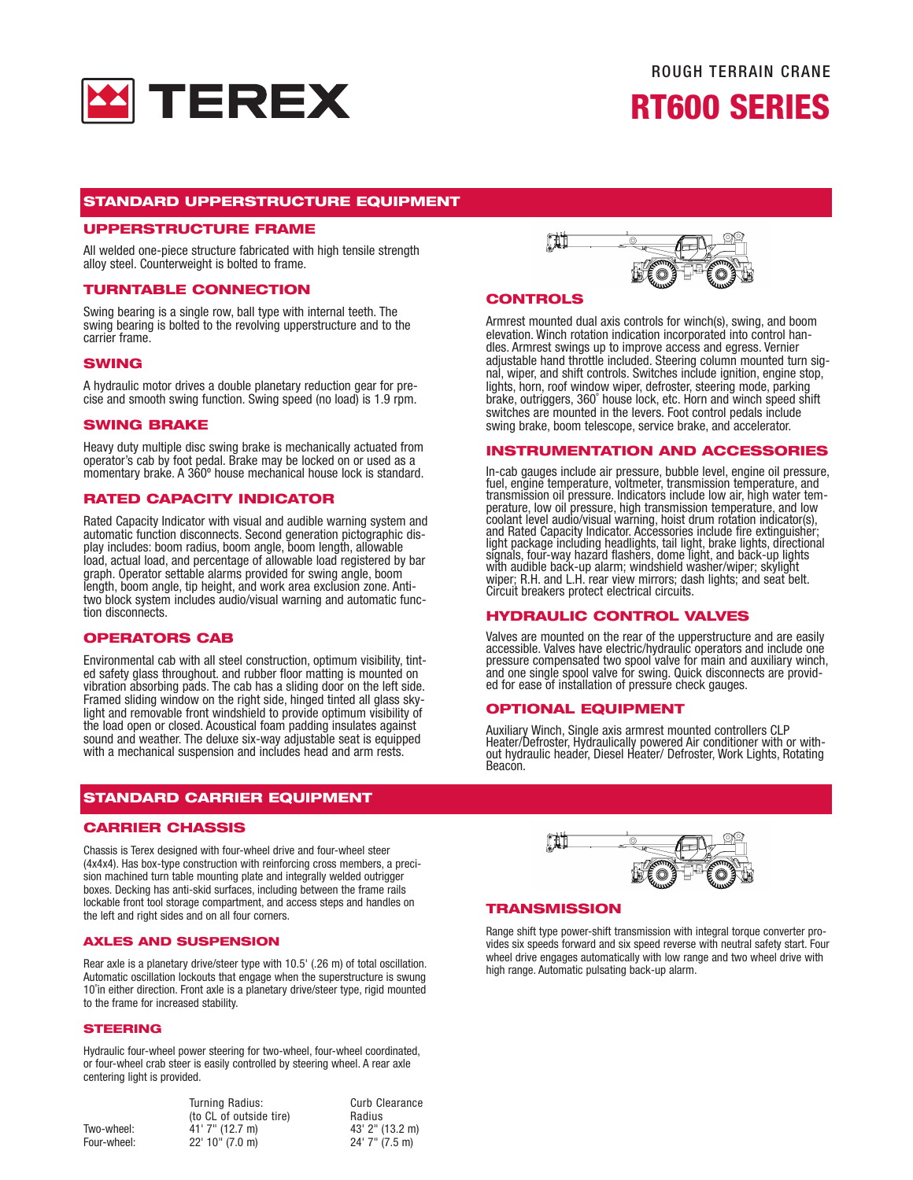

# **STANDARD UPPERSTRUCTURE EQUIPMENT**

# **UPPERSTRUCTURE FRAME**

All welded one-piece structure fabricated with high tensile strength alloy steel. Counterweight is bolted to frame.

#### **TURNTABLE CONNECTION**

Swing bearing is a single row, ball type with internal teeth. The swing bearing is bolted to the revolving upperstructure and to the carrier frame.

#### **SWING**

A hydraulic motor drives a double planetary reduction gear for precise and smooth swing function. Swing speed (no load) is 1.9 rpm.

#### **SWING BRAKE**

Heavy duty multiple disc swing brake is mechanically actuated from operator's cab by foot pedal. Brake may be locked on or used as a momentary brake. A 360º house mechanical house lock is standard.

#### **RATED CAPACITY INDICATOR**

Rated Capacity Indicator with visual and audible warning system and automatic function disconnects. Second generation pictographic display includes: boom radius, boom angle, boom length, allowable load, actual load, and percentage of allowable load registered by bar graph. Operator settable alarms provided for swing angle, boom length, boom angle, tip height, and work area exclusion zone. Antitwo block system includes audio/visual warning and automatic function disconnects.

## **OPERATORS CAB**

Environmental cab with all steel construction, optimum visibility, tint- ed safety glass throughout. and rubber floor matting is mounted on vibration absorbing pads. The cab has a sliding door on the left side. Framed sliding window on the right side, hinged tinted all glass skylight and removable front windshield to provide optimum visibility of the load open or closed. Acoustical foam padding insulates against sound and weather. The deluxe six-way adjustable seat is equipped with a mechanical suspension and includes head and arm rests.

## **STANDARD CARRIER EQUIPMENT**

#### **CARRIER CHASSIS**

Chassis is Terex designed with four-wheel drive and four-wheel steer (4x4x4). Has box-type construction with reinforcing cross members, a precision machined turn table mounting plate and integrally welded outrigger boxes. Decking has anti-skid surfaces, including between the frame rails lockable front tool storage compartment, and access steps and handles on the left and right sides and on all four corners.

#### **AXLES AND SUSPENSION**

Rear axle is a planetary drive/steer type with 10.5' (.26 m) of total oscillation. Automatic oscillation lockouts that engage when the superstructure is swung 10˚in either direction. Front axle is a planetary drive/steer type, rigid mounted to the frame for increased stability.

#### **STEERING**

Hydraulic four-wheel power steering for two-wheel, four-wheel coordinated, or four-wheel crab steer is easily controlled by steering wheel. A rear axle centering light is provided.

|             | Turning Radius:<br>(to CL of outside tire) | <b>Curb Clearance</b><br>Radius |
|-------------|--------------------------------------------|---------------------------------|
| Two-wheel:  | $41'$ 7" (12.7 m)                          | 43' 2" (13.2 m)                 |
| Four-wheel: | $22'$ 10" (7.0 m)                          | 24' 7" (7.5 m)                  |



### **CONTROLS**

Armrest mounted dual axis controls for winch(s), swing, and boom elevation. Winch rotation indication incorporated into control handles. Armrest swings up to improve access and egress. Vernier adjustable hand throttle included. Steering column mounted turn signal, wiper, and shift controls. Switches include ignition, engine stop, lights, horn, roof window wiper, defroster, steering mode, parking brake, outriggers, 360˚ house lock, etc. Horn and winch speed shift switches are mounted in the levers. Foot control pedals include swing brake, boom telescope, service brake, and accelerator.

#### **INSTRUMENTATION AND ACCESSORIES**

In-cab gauges include air pressure, bubble level, engine oil pressure,<br>fuel, engine temperature, voltmeter, transmission temperature, and transmission oil pressure. Indicators include low air, high water temperature, low oil pressure, high transmission temperature, and low coolant level audio/visual warning, hoist drum rotation indicator(s), and Rated Capacity Indicator. Accessories include fire extinguisher; light package including headlights, tail light, brake lights, directional signals, four-way hazard flashers, dome light, and back-up lights<br>with audible back-up alarm; windshield washer/wiper; skylight wiper; R.H. and L.H. rear view mirrors; dash lights; and seat belt.<br>Circuit breakers protect electrical circuits.

#### **HYDRAULIC CONTROL VALVES**

Valves are mounted on the rear of the upperstructure and are easily Accessible. Valves have electric/hydraulic operators and include one pressure compensated two spool valve for main and auxiliary winch, and one single spool valve for swing. Quick disconnects are provided for ease of installation of pressure check gauges.

#### **OPTIONAL EQUIPMENT**

Auxiliary Winch, Single axis armrest mounted controllers CLP Heater/Defroster, Hydraulically powered Air conditioner with or without hydraulic header, Diesel Heater/ Defroster, Work Lights, Rotating Beacon.



#### **TRANSMISSION**

Range shift type power-shift transmission with integral torque converter provides six speeds forward and six speed reverse with neutral safety start. Four wheel drive engages automatically with low range and two wheel drive with high range. Automatic pulsating back-up alarm.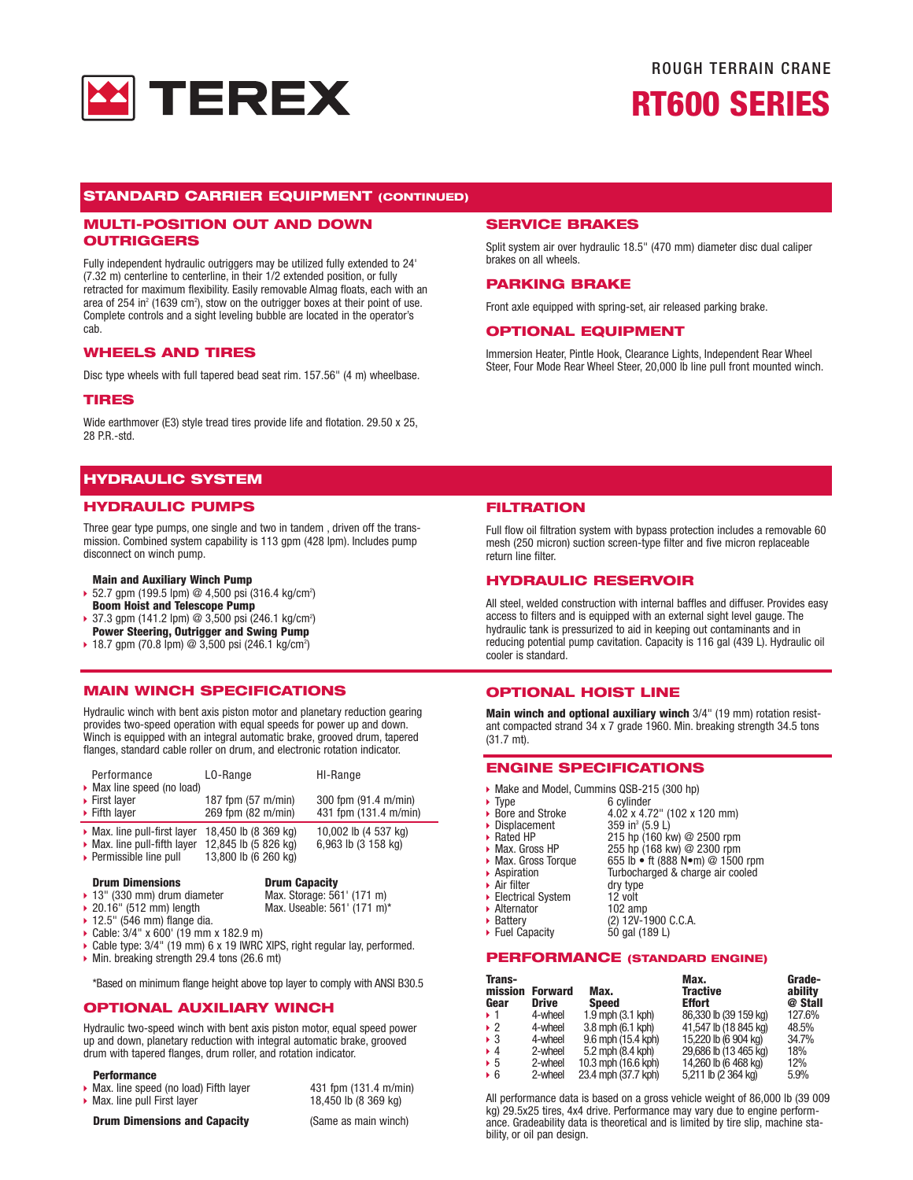

# ROUGH TERRAIN CRANE **RT600 SERIES**

#### **STANDARD CARRIER EQUIPMENT (CONTINUED)**

#### **MULTI-POSITION OUT AND DOWN OUTRIGGERS**

Fully independent hydraulic outriggers may be utilized fully extended to 24' (7.32 m) centerline to centerline, in their 1/2 extended position, or fully retracted for maximum flexibility. Easily removable Almag floats, each with an area of 254 in<sup>2</sup> (1639 cm<sup>2</sup>), stow on the outrigger boxes at their point of use. Complete controls and a sight leveling bubble are located in the operator's cab.

#### **WHEELS AND TIRES**

Disc type wheels with full tapered bead seat rim. 157.56" (4 m) wheelbase.

#### **TIRES**

Wide earthmover (E3) style tread tires provide life and flotation. 29.50 x 25, 28 P.R.-std.

### **HYDRAULIC SYSTEM**

#### **HYDRAULIC PUMPS**

Three gear type pumps, one single and two in tandem , driven off the transmission. Combined system capability is 113 gpm (428 lpm). Includes pump disconnect on winch pump.

#### **Main and Auxiliary Winch Pump**

- $\rightarrow$  52.7 gpm (199.5 lpm) @ 4,500 psi (316.4 kg/cm<sup>2</sup>) **Boom Hoist and Telescope Pump**
- $\rightarrow$  37.3 gpm (141.2 lpm) @ 3,500 psi (246.1 kg/cm<sup>2</sup>) **Power Steering, Outrigger and Swing Pump**
- ▶ 18.7 gpm (70.8 lpm) @ 3,500 psi (246.1 kg/cm<sup>2</sup>)

#### **MAIN WINCH SPECIFICATIONS**

Hydraulic winch with bent axis piston motor and planetary reduction gearing provides two-speed operation with equal speeds for power up and down. Winch is equipped with an integral automatic brake, grooved drum, tapered flanges, standard cable roller on drum, and electronic rotation indicator.

| Performance<br>• Max line speed (no load)   | LO-Range             | HI-Range              |
|---------------------------------------------|----------------------|-----------------------|
| $\triangleright$ First layer                | 187 fpm (57 m/min)   | 300 fpm (91.4 m/min)  |
| $\triangleright$ Fifth layer                | 269 fpm (82 m/min)   | 431 fpm (131.4 m/min) |
| $\triangleright$ Max. line pull-first layer | 18,450 lb (8 369 kg) | 10,002 lb (4 537 kg)  |
| $\triangleright$ Max. line pull-fifth layer | 12,845 lb (5 826 kg) | 6,963 lb (3 158 kg)   |

Permissible line pull  $13,800$  lb (6 260 kg)

**Drum Dimensions Drum Capacity**<br>13" (330 mm) drum diameter Max. Storage: 561' (171 m) ▶ 13" (330 mm) drum diameter<br/>\n▶ 20.16" (512 mm) length

Max. Useable: 561' (171 m)\*

- 
- $\blacktriangleright$  12.5" (546 mm) flange dia.
- $\triangleright$  Cable: 3/4" x 600' (19 mm x 182.9 m)
- Cable type:  $3/4$ " (19 mm) 6 x 19 IWRC XIPS, right regular lay, performed.
- $\blacktriangleright$  Min. breaking strength 29.4 tons (26.6 mt)

\*Based on minimum flange height above top layer to comply with ANSI B30.5

### **OPTIONAL AUXILIARY WINCH**

Hydraulic two-speed winch with bent axis piston motor, equal speed power up and down, planetary reduction with integral automatic brake, grooved drum with tapered flanges, drum roller, and rotation indicator.

#### **Performance**

- Max. line speed (no load) Fifth layer  $\overline{431}$  fpm (131.4 m/min)<br>■ Max. line pull First layer 18,450 lb (8 369 kg)
- $\blacktriangleright$  Max. line pull First layer

**Drum Dimensions and Capacity** (Same as main winch)

**SERVICE BRAKES**

**PARKING BRAKE**

**OPTIONAL EQUIPMENT**

brakes on all wheels.

**FILTRATION**

Full flow oil filtration system with bypass protection includes a removable 60 mesh (250 micron) suction screen-type filter and five micron replaceable return line filter.

Split system air over hydraulic 18.5" (470 mm) diameter disc dual caliper

Immersion Heater, Pintle Hook, Clearance Lights, Independent Rear Wheel Steer, Four Mode Rear Wheel Steer, 20,000 lb line pull front mounted winch.

Front axle equipped with spring-set, air released parking brake.

#### **HYDRAULIC RESERVOIR**

All steel, welded construction with internal baffles and diffuser. Provides easy access to filters and is equipped with an external sight level gauge. The hydraulic tank is pressurized to aid in keeping out contaminants and in reducing potential pump cavitation. Capacity is 116 gal (439 L). Hydraulic oil cooler is standard.

#### **OPTIONAL HOIST LINE**

**Main winch and optional auxiliary winch** 3/4" (19 mm) rotation resistant compacted strand 34 x 7 grade 1960. Min. breaking strength 34.5 tons (31.7 mt).

#### **ENGINE SPECIFICATIONS**

- Make and Model, Cummins QSB-215 (300 hp)<br>► Type 6 cylinder
- Type 6 cylinder<br>■ Bore and Stroke 4.02 x 4.7
	- $4.02 \times 4.72$ " (102 x 120 mm)<br>359 in<sup>3</sup> (5.9 L)
- $\rightarrow$  Displacement<br> $\rightarrow$  Rated HP
- A Rated HP 215 hp (160 kw) @ 2500 rpm<br>A Max. Gross HP 255 hp (168 kw) @ 2300 rpm
- <sup>u</sup>Max. Gross HP 255 hp (168 kw) @ 2300 rpm <sup>u</sup>Max. Gross Torque 655 lb ft (888 N•m) @ 1500 rpm
- 
- ▶ Aspiration Turbocharged & charge air cooled<br>▶ Air filter dry type
- Air filter dry type<br>Electrical System 12 volt ■ Electrical System 12 volt<br>■ Alternator 102 amp
- $\blacktriangleright$  Alternator<br> $\blacktriangleright$  Battery
- $\triangleright$  Battery (2) 12V-1900 C.C.A.
- ▶ Fuel Capacity 50 gal (189 L)

# **PERFORMANCE (STANDARD ENGINE)**

| Trans-<br>mission<br>Gear | <b>Forward</b><br><b>Drive</b> | Max.<br><b>Speed</b> | Max.<br><b>Tractive</b><br><b>Effort</b> | Grade-<br>ability<br>@ Stall |
|---------------------------|--------------------------------|----------------------|------------------------------------------|------------------------------|
| ▶ 1                       | 4-wheel                        | 1.9 mph (3.1 kph)    | 86,330 lb (39 159 kg)                    | 127.6%                       |
| $\cdot$ 2                 | 4-wheel                        | 3.8 mph (6.1 kph)    | 41,547 lb (18 845 kg)                    | 48.5%                        |
| $\triangleright$ 3        | 4-wheel                        | 9.6 mph (15.4 kph)   | 15,220 lb (6 904 kg)                     | 34.7%                        |
| $+4$                      | 2-wheel                        | 5.2 mph (8.4 kph)    | 29,686 lb (13 465 kg)                    | 18%                          |
| $\triangleright$ 5        | 2-wheel                        | 10.3 mph (16.6 kph)  | 14,260 lb (6 468 kg)                     | 12%                          |
| $\triangleright$ 6        | 2-wheel                        | 23.4 mph (37.7 kph)  | 5,211 lb (2 364 kg)                      | 5.9%                         |

All performance data is based on a gross vehicle weight of 86,000 lb (39 009 kg) 29.5x25 tires, 4x4 drive. Performance may vary due to engine perform-ance. Gradeability data is theoretical and is limited by tire slip, machine stability, or oil pan design.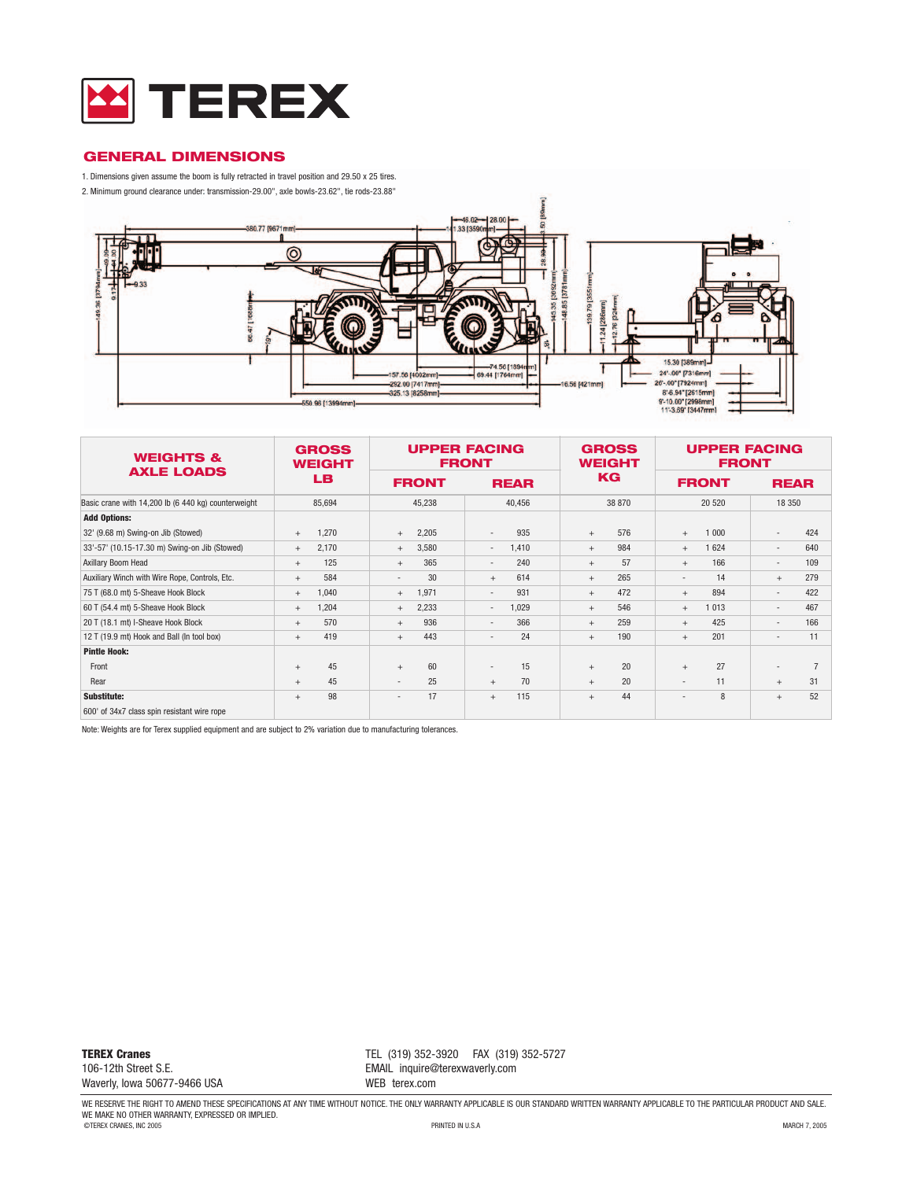

### **GENERAL DIMENSIONS**

1. Dimensions given assume the boom is fully retracted in travel position and 29.50 x 25 tires.

2. Minimum ground clearance under: transmission-29.00", axle bowls-23.62", tie rods-23.88"



| <b>WEIGHTS &amp;</b><br><b>AXLE LOADS</b>           | <b>GROSS</b><br><b>WEIGHT</b> |                          | <b>UPPER FACING</b><br><b>FRONT</b> | <b>GROSS</b><br><b>WEIGHT</b> | <b>UPPER FACING</b><br><b>FRONT</b> |                          |
|-----------------------------------------------------|-------------------------------|--------------------------|-------------------------------------|-------------------------------|-------------------------------------|--------------------------|
|                                                     | LB.                           | <b>FRONT</b>             | <b>REAR</b>                         | KG                            | <b>FRONT</b>                        | <b>REAR</b>              |
| Basic crane with 14,200 lb (6 440 kg) counterweight | 85,694                        | 45,238                   | 40,456                              | 38 870                        | 20 520                              | 18 350                   |
| <b>Add Options:</b>                                 |                               |                          |                                     |                               |                                     |                          |
| 32' (9.68 m) Swing-on Jib (Stowed)                  | 1,270                         | 2,205                    | 935                                 | 576                           | 1 000                               | 424                      |
|                                                     | $+$                           | $+$                      | $\overline{\phantom{a}}$            | $+$                           | $+$                                 | $\overline{\phantom{a}}$ |
| 33'-57' (10.15-17.30 m) Swing-on Jib (Stowed)       | 2,170                         | 3,580                    | 1,410                               | 984                           | 1 624                               | 640                      |
|                                                     | $+$                           | $+$                      | $\overline{\phantom{a}}$            | $+$                           | $+$                                 | $\overline{\phantom{a}}$ |
| Axillary Boom Head                                  | 125                           | 365                      | 240                                 | 57                            | 166                                 | 109                      |
|                                                     | $+$                           | $+$                      | $\overline{\phantom{a}}$            | $+$                           | $+$                                 | $\overline{\phantom{a}}$ |
| Auxiliary Winch with Wire Rope, Controls, Etc.      | 584                           | 30                       | 614                                 | 265                           | 14                                  | 279                      |
|                                                     | $+$                           | $\overline{\phantom{a}}$ | $+$                                 | $+$                           | $\overline{\phantom{a}}$            | $+$                      |
| 75 T (68.0 mt) 5-Sheave Hook Block                  | 1,040                         | 1,971                    | 931                                 | 472                           | 894                                 | 422                      |
|                                                     | $+$                           | $+$                      | $\overline{\phantom{a}}$            | $+$                           | $+$                                 | $\overline{\phantom{a}}$ |
| 60 T (54.4 mt) 5-Sheave Hook Block                  | 1,204                         | 2,233                    | 1.029                               | 546                           | 1 0 1 3                             | 467                      |
|                                                     | $+$                           | $+$                      | $\overline{\phantom{a}}$            | $+$                           | $+$                                 | $\overline{\phantom{a}}$ |
| 20 T (18.1 mt) I-Sheave Hook Block                  | 570                           | 936                      | 366                                 | 259                           | 425                                 | 166                      |
|                                                     | $+$                           | $+$                      | $\overline{\phantom{a}}$            | $+$                           | $+$                                 | $\overline{\phantom{a}}$ |
| 12 T (19.9 mt) Hook and Ball (In tool box)          | 419                           | 443                      | 24                                  | 190                           | 201                                 | 11                       |
|                                                     | $+$                           | $+$                      | $\overline{\phantom{a}}$            | $+$                           | $+$                                 | ٠                        |
| <b>Pintle Hook:</b>                                 |                               |                          |                                     |                               |                                     |                          |
| Front                                               | 45<br>$+$                     | 60<br>$+$                | 15<br>$\overline{\phantom{a}}$      | 20<br>$+$                     | 27<br>$+$                           | $\overline{a}$           |
| Rear                                                | 45                            | 25                       | 70                                  | 20                            | 11                                  | 31                       |
|                                                     | $+$                           | $\overline{\phantom{a}}$ | $+$                                 | $+$                           | $\overline{\phantom{a}}$            | $+$                      |
| Substitute:                                         | 98                            | 17                       | 115                                 | 44                            | 8                                   | 52                       |
|                                                     | $+$                           | $\overline{\phantom{0}}$ | $+$                                 | $+$                           | $\overline{\phantom{0}}$            | $+$                      |
| 600' of 34x7 class spin resistant wire rope         |                               |                          |                                     |                               |                                     |                          |

Note: Weights are for Terex supplied equipment and are subject to 2% variation due to manufacturing tolerances.

**TEREX Cranes** 106-12th Street S.E. Waverly, Iowa 50677-9466 USA TEL (319) 352-3920 FAX (319) 352-5727 EMAIL inquire@terexwaverly.com WEB terex.com

WE RESERVE THE RIGHT TO AMEND THESE SPECIFICATIONS AT ANY TIME WITHOUT NOTICE. THE ONLY WARRANTY APPLICABLE IS OUR STANDARD WRITTEN WARRANTY APPLICABLE TO THE PARTICULAR PRODUCT AND SALE.<br>WE MAKE NO OTHER WARRANTY, EXPRESS ©TEREX CRANES, INC 2005 PRINTED IN U.S.A MARCH 7, 2005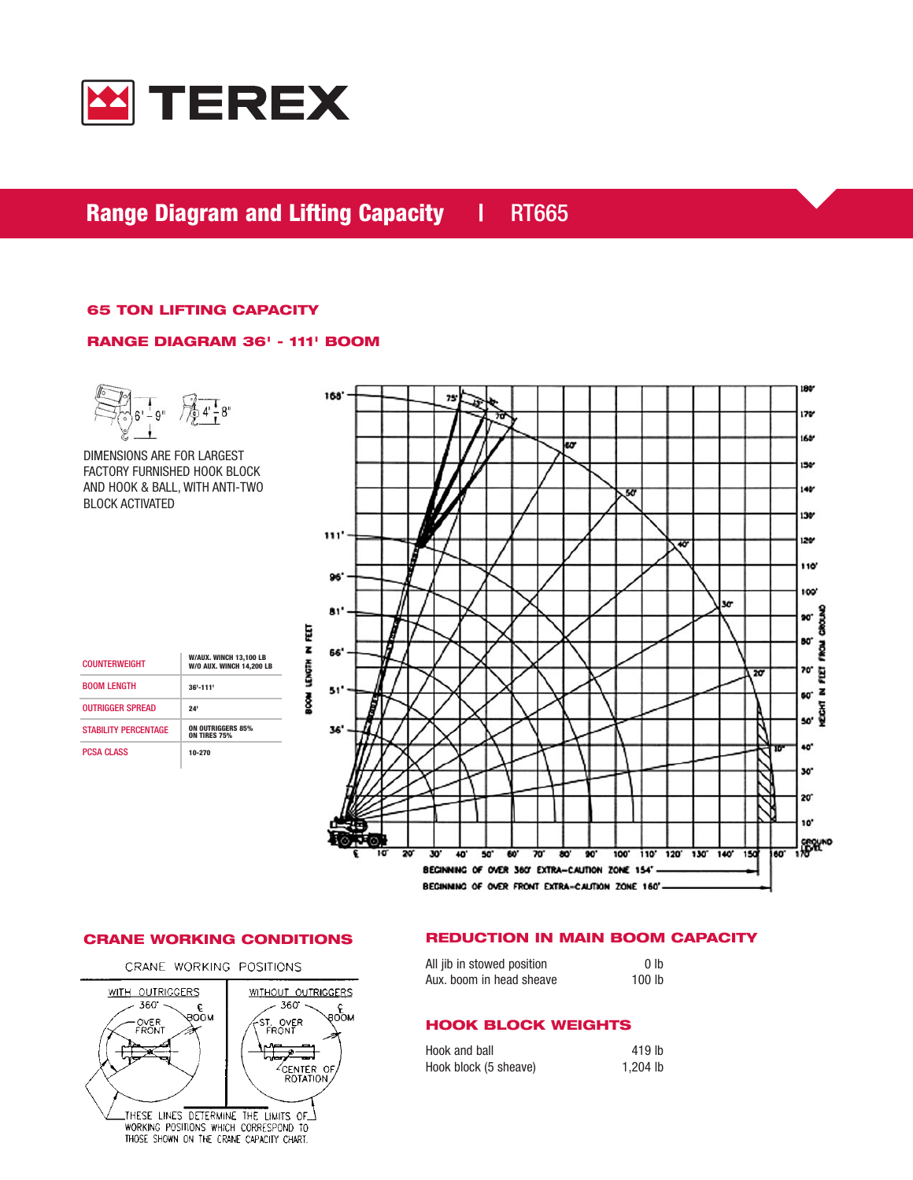

# **Range Diagram and Lifting Capacity | RT665**

## **65 TON LIFTING CAPACITY**

### **RANGE DIAGRAM 36' - 111' BOOM**



DIMENSIONS ARE FOR LARGEST FACTORY FURNISHED HOOK BLOCK AND HOOK & BALL, WITH ANTI-TWO BLOCK ACTIVATED

| <b>COUNTERWEIGHT</b>        | W/AUX. WINCH 13,100 LB<br><b>W/0 AUX. WINCH 14,200 LB</b> |
|-----------------------------|-----------------------------------------------------------|
| <b>BOOM LENGTH</b>          | $36' - 111'$                                              |
| <b>OUTRIGGER SPREAD</b>     | 24'                                                       |
| <b>STABILITY PERCENTAGE</b> | <b>ON OUTRIGGERS 85%</b><br><b>ON TIRES 75%</b>           |
| <b>PCSA CLASS</b>           | 10-270                                                    |



CRANE WORKING POSITIONS



# **CRANE WORKING CONDITIONS REDUCTION IN MAIN BOOM CAPACITY**

| All jib in stowed position | 0 lb              |
|----------------------------|-------------------|
| Aux. boom in head sheave   | 100 <sub>lb</sub> |

# **HOOK BLOCK WEIGHTS**

| Hook and ball         | 419 lb   |
|-----------------------|----------|
| Hook block (5 sheave) | 1,204 lb |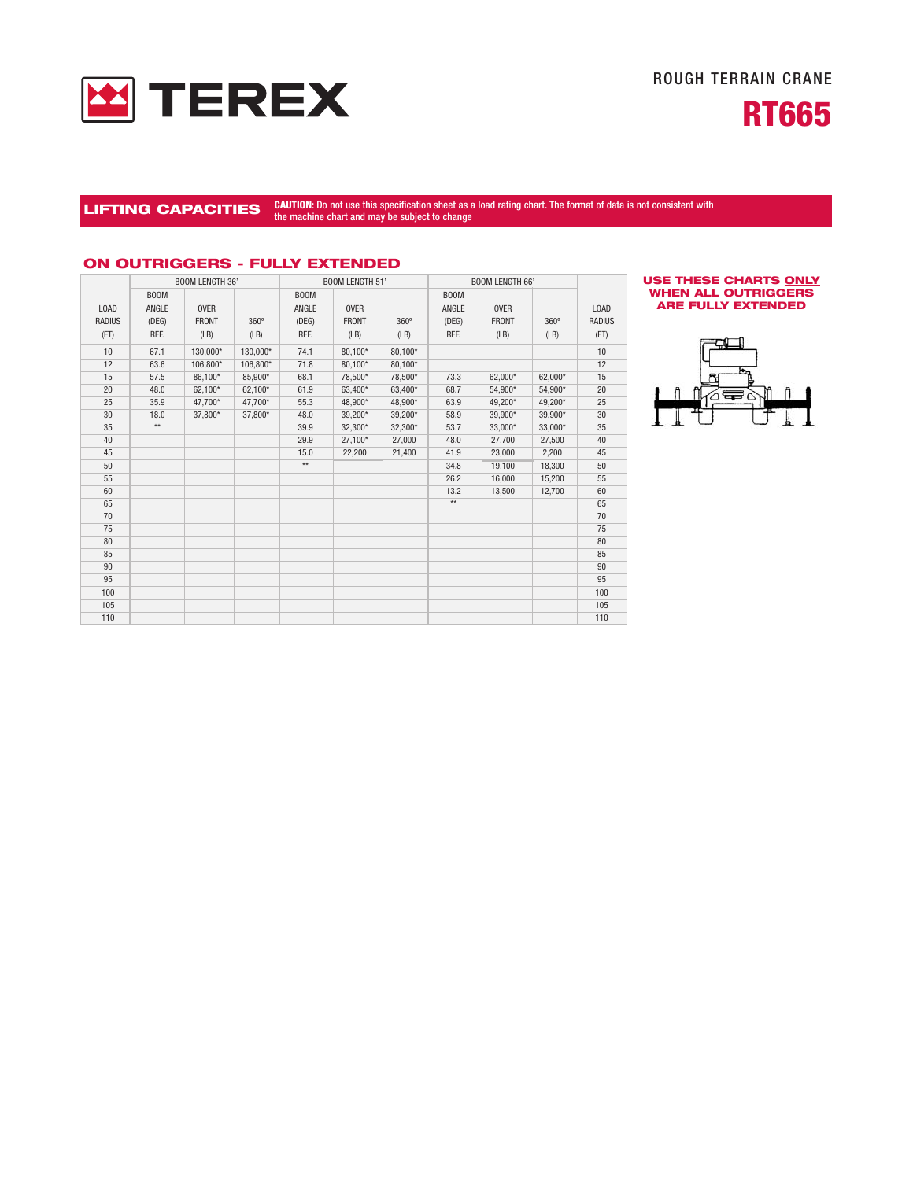



# LIFTING CAPACITIES CAUTION: Do not use this specification sheet as a load rating chart. The format of data is not consistent with the machine chart and may be subject to change

|               | <b>BOOM LENGTH 36'</b> |              |          |                               | <b>BOOM LENGTH 51'</b> |             |             | <b>BOOM LENGTH 66'</b> |         |               |
|---------------|------------------------|--------------|----------|-------------------------------|------------------------|-------------|-------------|------------------------|---------|---------------|
|               | <b>BOOM</b>            |              |          | B <sub>0</sub> <sub>O</sub> M |                        |             | <b>BOOM</b> |                        |         |               |
| <b>LOAD</b>   | ANGLE                  | <b>OVER</b>  |          | ANGLE                         | <b>OVER</b>            |             | ANGLE       | <b>OVER</b>            |         | LOAD          |
| <b>RADIUS</b> | (DEG)                  | <b>FRONT</b> | 360°     | (DEG)                         | <b>FRONT</b>           | $360^\circ$ | (DEG)       | <b>FRONT</b>           | 360°    | <b>RADIUS</b> |
| (FT)          | REF.                   | (LB)         | (LB)     | REF.                          | (LB)                   | (LB)        | REF.        | (LB)                   | (LB)    | (FT)          |
| 10            | 67.1                   | 130,000*     | 130,000* | 74.1                          | 80,100*                | 80,100*     |             |                        |         | 10            |
| 12            | 63.6                   | 106,800*     | 106,800* | 71.8                          | 80,100*                | 80,100*     |             |                        |         | 12            |
| 15            | 57.5                   | 86,100*      | 85,900*  | 68.1                          | 78,500*                | 78,500*     | 73.3        | 62,000*                | 62,000* | 15            |
| 20            | 48.0                   | 62,100*      | 62,100*  | 61.9                          | 63,400*                | 63,400*     | 68.7        | 54,900*                | 54,900* | 20            |
| 25            | 35.9                   | 47,700*      | 47,700*  | 55.3                          | 48,900*                | 48,900*     | 63.9        | 49,200*                | 49,200* | 25            |
| 30            | 18.0                   | 37,800*      | 37.800*  | 48.0                          | 39,200*                | 39,200*     | 58.9        | 39,900*                | 39,900* | 30            |
| 35            | $\star\star$           |              |          | 39.9                          | 32,300*                | 32,300*     | 53.7        | 33,000*                | 33,000* | 35            |
| 40            |                        |              |          | 29.9                          | 27,100*                | 27,000      | 48.0        | 27,700                 | 27,500  | 40            |
| 45            |                        |              |          | 15.0                          | 22,200                 | 21,400      | 41.9        | 23,000                 | 2,200   | 45            |
| 50            |                        |              |          | $**$                          |                        |             | 34.8        | 19,100                 | 18,300  | 50            |
| 55            |                        |              |          |                               |                        |             | 26.2        | 16,000                 | 15,200  | 55            |
| 60            |                        |              |          |                               |                        |             | 13.2        | 13,500                 | 12,700  | 60            |
| 65            |                        |              |          |                               |                        |             | $**$        |                        |         | 65            |
| 70            |                        |              |          |                               |                        |             |             |                        |         | 70            |
| 75            |                        |              |          |                               |                        |             |             |                        |         | 75            |
| 80            |                        |              |          |                               |                        |             |             |                        |         | 80            |
| 85            |                        |              |          |                               |                        |             |             |                        |         | 85            |
| 90            |                        |              |          |                               |                        |             |             |                        |         | 90            |
| 95            |                        |              |          |                               |                        |             |             |                        |         | 95            |
| 100           |                        |              |          |                               |                        |             |             |                        |         | 100           |
| 105           |                        |              |          |                               |                        |             |             |                        |         | 105           |
| 110           |                        |              |          |                               |                        |             |             |                        |         | 110           |

### **ON OUTRIGGERS - FULLY EXTENDED**

#### **USE THESE CHARTS ONLY WHEN ALL OUTRIGGERS ARE FULLY EXTENDED**

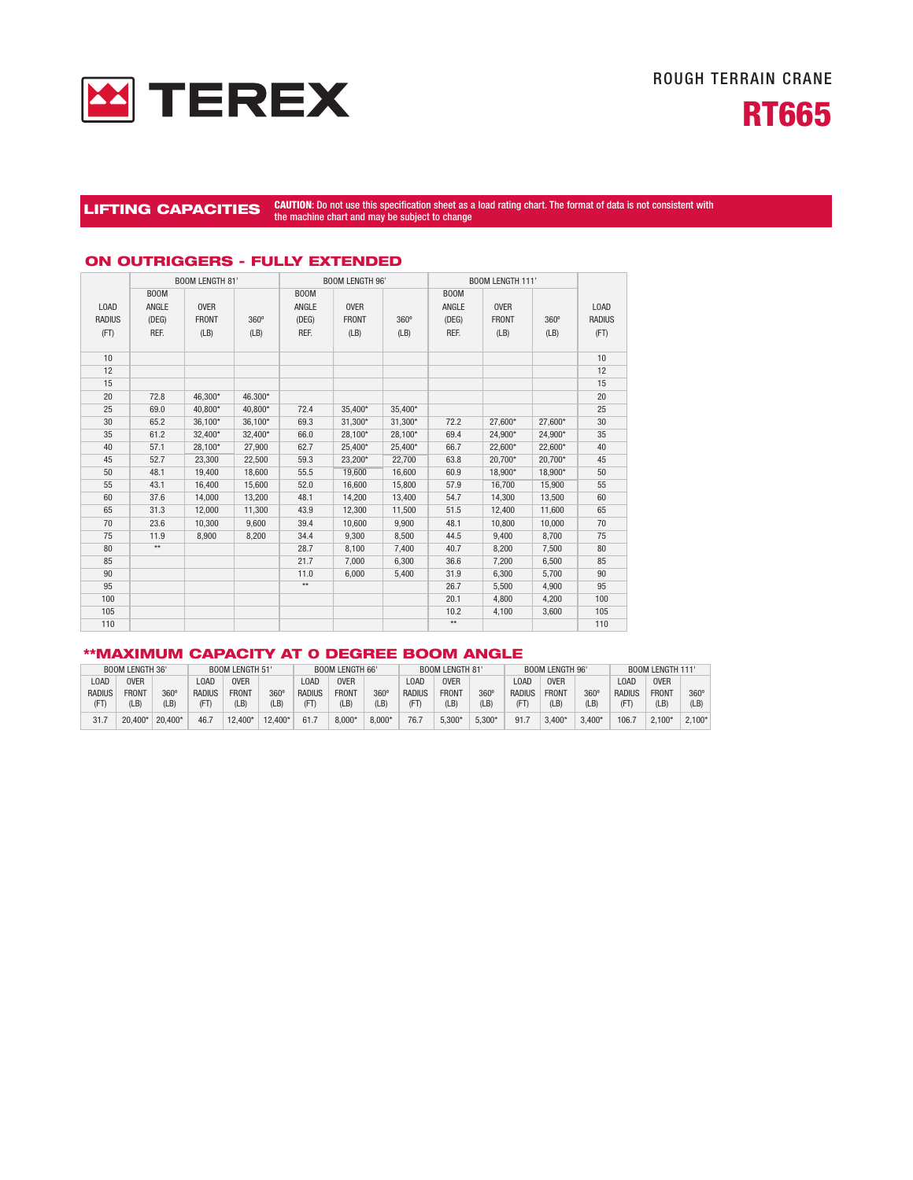



# LIFTING CAPACITIES CAUTION: Do not use this specification sheet as a load rating chart. The format of data is not consistent with the machine chart and may be subject to change

|               |              | <b>BOOM LENGTH 81'</b> |         |                             | <b>BOOM LENGTH 96'</b> |             |                             | <b>BOOM LENGTH 111'</b> |         |               |
|---------------|--------------|------------------------|---------|-----------------------------|------------------------|-------------|-----------------------------|-------------------------|---------|---------------|
|               | <b>BOOM</b>  |                        |         | B <sub>0</sub> <sub>M</sub> |                        |             | B <sub>0</sub> <sub>M</sub> |                         |         |               |
| LOAD          | ANGLE        | <b>OVER</b>            |         | ANGLE                       | <b>OVER</b>            |             | ANGLE                       | <b>OVER</b>             |         | LOAD          |
| <b>RADIUS</b> | (DEG)        | <b>FRONT</b>           | 360°    | (DEG)                       | <b>FRONT</b>           | $360^\circ$ | (DEG)                       | <b>FRONT</b>            | 360°    | <b>RADIUS</b> |
| (FT)          | REF.         | (LB)                   | (LB)    | REF.                        | (LB)                   | (LB)        | REF.                        | (LB)                    | (LB)    | (FT)          |
|               |              |                        |         |                             |                        |             |                             |                         |         |               |
| 10            |              |                        |         |                             |                        |             |                             |                         |         | 10            |
| 12            |              |                        |         |                             |                        |             |                             |                         |         | 12            |
| 15            |              |                        |         |                             |                        |             |                             |                         |         | 15            |
| 20            | 72.8         | 46,300*                | 46.300* |                             |                        |             |                             |                         |         | 20            |
| 25            | 69.0         | 40,800*                | 40,800* | 72.4                        | 35,400*                | 35,400*     |                             |                         |         | 25            |
| 30            | 65.2         | 36,100*                | 36,100* | 69.3                        | 31,300*                | 31,300*     | 72.2                        | 27,600*                 | 27,600* | 30            |
| 35            | 61.2         | 32,400*                | 32,400* | 66.0                        | 28,100*                | 28,100*     | 69.4                        | 24,900*                 | 24,900* | 35            |
| 40            | 57.1         | 28,100*                | 27,900  | 62.7                        | 25,400*                | 25,400*     | 66.7                        | 22,600*                 | 22,600* | 40            |
| 45            | 52.7         | 23,300                 | 22,500  | 59.3                        | 23,200*                | 22,700      | 63.8                        | 20,700*                 | 20,700* | 45            |
| 50            | 48.1         | 19,400                 | 18,600  | 55.5                        | 19,600                 | 16,600      | 60.9                        | 18.900*                 | 18.900* | 50            |
| 55            | 43.1         | 16,400                 | 15,600  | 52.0                        | 16.600                 | 15,800      | 57.9                        | 16.700                  | 15,900  | 55            |
| 60            | 37.6         | 14,000                 | 13,200  | 48.1                        | 14,200                 | 13,400      | 54.7                        | 14,300                  | 13,500  | 60            |
| 65            | 31.3         | 12,000                 | 11,300  | 43.9                        | 12,300                 | 11,500      | 51.5                        | 12,400                  | 11,600  | 65            |
| 70            | 23.6         | 10,300                 | 9,600   | 39.4                        | 10,600                 | 9,900       | 48.1                        | 10,800                  | 10,000  | 70            |
| 75            | 11.9         | 8,900                  | 8,200   | 34.4                        | 9,300                  | 8,500       | 44.5                        | 9,400                   | 8,700   | 75            |
| 80            | $\star\star$ |                        |         | 28.7                        | 8,100                  | 7,400       | 40.7                        | 8,200                   | 7,500   | 80            |
| 85            |              |                        |         | 21.7                        | 7,000                  | 6,300       | 36.6                        | 7,200                   | 6,500   | 85            |
| 90            |              |                        |         | 11.0                        | 6,000                  | 5,400       | 31.9                        | 6,300                   | 5,700   | 90            |
| 95            |              |                        |         | $**$                        |                        |             | 26.7                        | 5,500                   | 4,900   | 95            |
| 100           |              |                        |         |                             |                        |             | 20.1                        | 4,800                   | 4,200   | 100           |
| 105           |              |                        |         |                             |                        |             | 10.2                        | 4,100                   | 3,600   | 105           |
| 110           |              |                        |         |                             |                        |             | $**$                        |                         |         | 110           |

#### **ON OUTRIGGERS - FULLY EXTENDED**

# **\*\*MAXIMUM CAPACITY AT 0 DEGREE BOOM ANGLE**

| <b>BOOM LENGTH 51'</b><br><b>BOOM LENGTH 36'</b> |              |         | <b>BOOM LENGTH 66'</b> |              |           | <b>BOOM LENGTH 81'</b> |              |          | <b>BOOM LENGTH 96'</b> |              |          | <b>BOOM LENGTH 111'</b> |              |                  |               |              |             |
|--------------------------------------------------|--------------|---------|------------------------|--------------|-----------|------------------------|--------------|----------|------------------------|--------------|----------|-------------------------|--------------|------------------|---------------|--------------|-------------|
| LOAD                                             | <b>OVER</b>  |         | LOAD                   | <b>OVER</b>  |           | <b>LOAD</b>            | <b>OVER</b>  |          | 0AD                    | <b>OVER</b>  |          | LOAD                    | <b>OVER</b>  |                  | 0AD           | <b>OVER</b>  |             |
| <b>RADIUS</b>                                    | <b>FRONT</b> | 360     | RADIUS                 | <b>FRONT</b> | 360       | RADIUS                 | <b>FRONT</b> | 360°     | RADIUS                 | <b>FRONT</b> | 360      | <b>RADIUS</b>           | <b>FRONT</b> | 360 <sup>°</sup> | <b>RADIUS</b> | <b>FRONT</b> | $360^\circ$ |
| (FT)                                             | (LB)         | (LB)    | (FT                    | (LB)         | (LB)      | (FT                    | (LB)         | (LB)     | (FT                    | (LB)         | (LB)     | (FT                     | (LB)         | (LB)             | (FT           | (LB)         | (LB)        |
| 31.7                                             | 20.400*      | 20.400* | 46.7                   | 12.400*      | $12.400*$ | 61.1                   | $8.000*$     | $8.000*$ | 76.7                   | 5.300*       | $5.300*$ | 91.                     | $3.400*$     | $3.400*$         | 106.7         | 2.100        | $2.100*$    |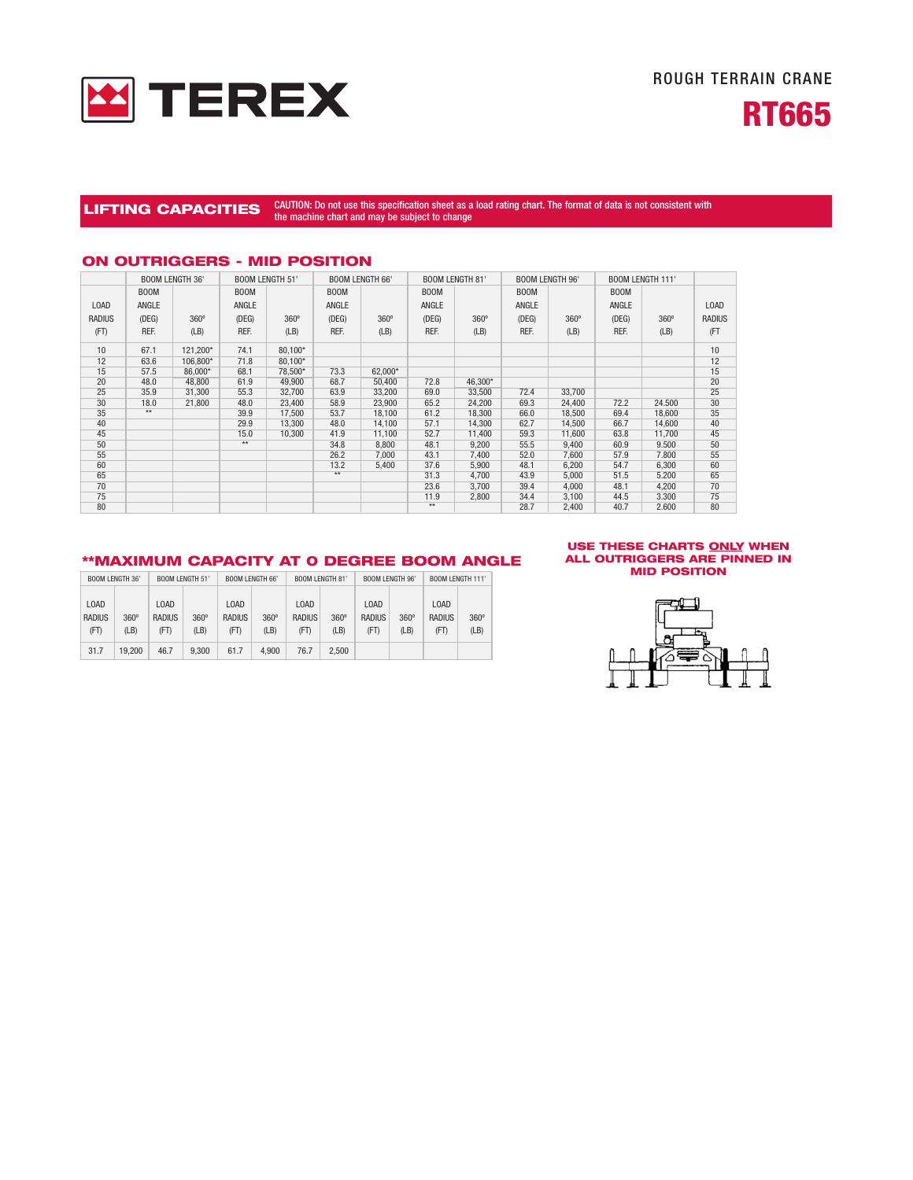



# LIFTING CAPACITIES <sup>CAUTION:</sup> Do not use this specification sheet as a load rating chart. The format of data is not consistent with the machine chart and may be subject to change

|               |             | <b>BOOM LENGTH 36'</b> | <b>BOOM LENGTH 51'</b> |         | <b>BOOM LENGTH 66'</b> |             | <b>BOOM LENGTH 81'</b> |             | <b>BOOM LENGTH 96'</b> |        | <b>BOOM LENGTH 111'</b> |             |        |
|---------------|-------------|------------------------|------------------------|---------|------------------------|-------------|------------------------|-------------|------------------------|--------|-------------------------|-------------|--------|
|               | <b>BOOM</b> |                        | <b>BOOM</b>            |         | <b>BOOM</b>            |             | <b>BOOM</b>            |             | <b>BOOM</b>            |        | <b>BOOM</b>             |             |        |
| LOAD          | ANGLE       |                        | ANGLE                  |         | ANGLE                  |             | ANGLE                  |             | ANGLE                  |        | ANGLE                   |             | LOAD   |
| <b>RADIUS</b> | (DEG)       | $360^\circ$            | (DEG)                  | 360°    | (DEG)                  | $360^\circ$ | (DEG)                  | $360^\circ$ | (DEG)                  | 360°   | (DEG)                   | $360^\circ$ | RADIUS |
| (FT)          | REF.        | (LB)                   | REF.                   | (LB)    | REF.                   | (LB)        | REF.                   | (LB)        | REF.                   | (LB)   | REF.                    | (LB)        | (FT    |
| 10            | 67.1        | 121,200*               | 74.1                   | 80.100* |                        |             |                        |             |                        |        |                         |             | 10     |
| 12            | 63.6        | 106,800*               | 71.8                   | 80,100* |                        |             |                        |             |                        |        |                         |             | 12     |
| 15            | 57.5        | 86,000*                | 68.1                   | 78.500* | 73.3                   | 62,000*     |                        |             |                        |        |                         |             | 15     |
| 20            | 48.0        | 48,800                 | 61.9                   | 49.900  | 68.7                   | 50,400      | 72.8                   | 46,300*     |                        |        |                         |             | 20     |
| 25            | 35.9        | 31,300                 | 55.3                   | 32.700  | 63.9                   | 33,200      | 69.0                   | 33,500      | 72.4                   | 33.700 |                         |             | 25     |
| 30            | 18.0        | 21.800                 | 48.0                   | 23.400  | 58.9                   | 23,900      | 65.2                   | 24.200      | 69.3                   | 24.400 | 72.2                    | 24.500      | 30     |
| 35            | $**$        |                        | 39.9                   | 17,500  | 53.7                   | 18,100      | 61.2                   | 18,300      | 66.0                   | 18,500 | 69.4                    | 18,600      | 35     |
| 40            |             |                        | 29.9                   | 13,300  | 48.0                   | 14,100      | 57.1                   | 14,300      | 62.7                   | 14,500 | 66.7                    | 14,600      | 40     |
| 45            |             |                        | 15.0                   | 10,300  | 41.9                   | 11,100      | 52.7                   | 11.400      | 59.3                   | 11.600 | 63.8                    | 11,700      | 45     |
| 50            |             |                        | $**$                   |         | 34.8                   | 8,800       | 48.1                   | 9,200       | 55.5                   | 9,400  | 60.9                    | 9.500       | 50     |
| 55            |             |                        |                        |         | 26.2                   | 7,000       | 43.1                   | 7,400       | 52.0                   | 7,600  | 57.9                    | 7.800       | 55     |
| 60            |             |                        |                        |         | 13.2                   | 5,400       | 37.6                   | 5,900       | 48.1                   | 6.200  | 54.7                    | 6,300       | 60     |
| 65            |             |                        |                        |         | $\star\star$           |             | 31.3                   | 4,700       | 43.9                   | 5,000  | 51.5                    | 5.200       | 65     |
| 70            |             |                        |                        |         |                        |             | 23.6                   | 3,700       | 39.4                   | 4,000  | 48.1                    | 4,200       | 70     |
| 75            |             |                        |                        |         |                        |             | 11.9                   | 2,800       | 34.4                   | 3,100  | 44.5                    | 3.300       | 75     |
| 80            |             |                        |                        |         |                        |             | $**$                   |             | 28.7                   | 2,400  | 40.7                    | 2.600       | 80     |

# **ON OUTRIGGERS - MID POSITION**

# **\*\*MAXIMUM CAPACITY AT 0 DEGREE BOOM ANGLE**

| BOOM LENGTH 36' |             | <b>BOOM LENGTH 51'</b> |             | <b>BOOM LENGTH 66'</b> |             | BOOM LENGTH 81 |             | BOOM LENGTH 96' |             | BOOM LENGTH 111' |             |
|-----------------|-------------|------------------------|-------------|------------------------|-------------|----------------|-------------|-----------------|-------------|------------------|-------------|
|                 |             |                        |             |                        |             |                |             |                 |             |                  |             |
| <b>LOAD</b>     |             | <b>LOAD</b>            |             | <b>LOAD</b>            |             | <b>LOAD</b>    |             | LOAD            |             | <b>LOAD</b>      |             |
| <b>RADIUS</b>   | $360^\circ$ | <b>RADIUS</b>          | $360^\circ$ | <b>RADIUS</b>          | $360^\circ$ | <b>RADIUS</b>  | $360^\circ$ | <b>RADIUS</b>   | $360^\circ$ | <b>RADIUS</b>    | $360^\circ$ |
| (FT)            | (LB)        | (FT)                   | (LB)        | (FT)                   | (LB)        | (FT)           | (LB)        | (FT)            | (LB)        | (FT)             | (LB)        |
|                 |             |                        |             |                        |             |                |             |                 |             |                  |             |
| 31.7            | 19.200      | 46.7                   | 9.300       | 61.7                   | 4.900       | 76.7           | 2.500       |                 |             |                  |             |

#### **USE THESE CHARTS ONLY WHEN ALL OUTRIGGERS ARE PINNED IN MID POSITION**

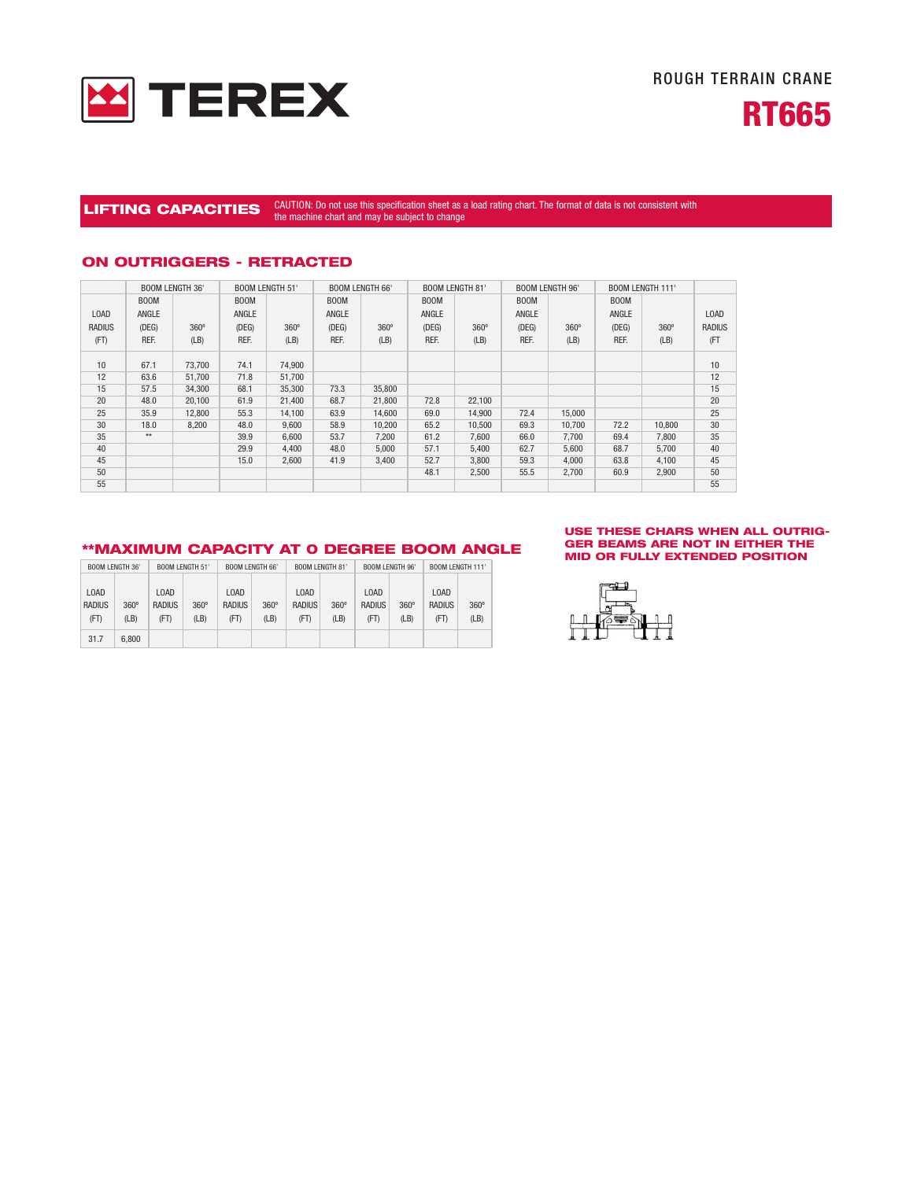



# LIFTING CAPACITIES <sup>CAUTION:</sup> Do not use this specification sheet as a load rating chart. The format of data is not consistent with the machine chart and may be subject to change

# **ON OUTRIGGERS - RETRACTED**

|               | <b>BOOM LENGTH 36'</b> |             | <b>BOOM LENGTH 51'</b> |             |             | <b>BOOM LENGTH 66'</b> |             | <b>BOOM LENGTH 81'</b> |             | <b>BOOM LENGTH 96'</b> | <b>BOOM LENGTH 111'</b> |             |               |
|---------------|------------------------|-------------|------------------------|-------------|-------------|------------------------|-------------|------------------------|-------------|------------------------|-------------------------|-------------|---------------|
|               | <b>BOOM</b>            |             | <b>BOOM</b>            |             | <b>BOOM</b> |                        | <b>BOOM</b> |                        | <b>BOOM</b> |                        | <b>BOOM</b>             |             |               |
| <b>LOAD</b>   | ANGLE                  |             | ANGLE                  |             | ANGLE       |                        | ANGLE       |                        | ANGLE       |                        | ANGLE                   |             | <b>LOAD</b>   |
| <b>RADIUS</b> | (DEG)                  | $360^\circ$ | (DEG)                  | $360^\circ$ | (DEG)       | 360°                   | (DEG)       | $360^\circ$            | (DEG)       | $360^\circ$            | (DEG)                   | $360^\circ$ | <b>RADIUS</b> |
| (FT)          | REF.                   | (LB)        | REF.                   | (LB)        | REF.        | (LB)                   | REF.        | (LB)                   | REF.        | (LB)                   | REF.                    | (LB)        | (FT           |
| 10            | 67.1                   | 73,700      | 74.1                   | 74,900      |             |                        |             |                        |             |                        |                         |             | 10            |
| 12            | 63.6                   | 51,700      | 71.8                   | 51,700      |             |                        |             |                        |             |                        |                         |             | 12            |
| 15            | 57.5                   | 34,300      | 68.1                   | 35,300      | 73.3        | 35,800                 |             |                        |             |                        |                         |             | 15            |
| 20            | 48.0                   | 20,100      | 61.9                   | 21,400      | 68.7        | 21,800                 | 72.8        | 22,100                 |             |                        |                         |             | 20            |
| 25            | 35.9                   | 12,800      | 55.3                   | 14,100      | 63.9        | 14,600                 | 69.0        | 14,900                 | 72.4        | 15,000                 |                         |             | 25            |
| 30            | 18.0                   | 8,200       | 48.0                   | 9,600       | 58.9        | 10,200                 | 65.2        | 10,500                 | 69.3        | 10,700                 | 72.2                    | 10,800      | 30            |
| 35            | $**$                   |             | 39.9                   | 6.600       | 53.7        | 7,200                  | 61.2        | 7,600                  | 66.0        | 7.700                  | 69.4                    | 7,800       | 35            |
| 40            |                        |             | 29.9                   | 4.400       | 48.0        | 5,000                  | 57.1        | 5,400                  | 62.7        | 5,600                  | 68.7                    | 5,700       | 40            |
| 45            |                        |             | 15.0                   | 2.600       | 41.9        | 3.400                  | 52.7        | 3,800                  | 59.3        | 4.000                  | 63.8                    | 4,100       | 45            |
| 50            |                        |             |                        |             |             |                        | 48.1        | 2,500                  | 55.5        | 2.700                  | 60.9                    | 2.900       | 50            |
| 55            |                        |             |                        |             |             |                        |             |                        |             |                        |                         |             | 55            |

# **\*\*MAXIMUM CAPACITY AT 0 DEGREE BOOM ANGLE**

| BOOM LENGTH 36' |             | <b>BOOM LENGTH 51'</b> |             | <b>BOOM LENGTH 66'</b> |             | BOOM LENGTH 81' |             | <b>BOOM LENGTH 96'</b> |             | <b>BOOM LENGTH 111'</b> |             |
|-----------------|-------------|------------------------|-------------|------------------------|-------------|-----------------|-------------|------------------------|-------------|-------------------------|-------------|
| <b>LOAD</b>     |             | LOAD                   |             |                        | <b>LOAD</b> |                 | <b>LOAD</b> |                        |             | LOAD                    |             |
| <b>RADIUS</b>   | $360^\circ$ | <b>RADIUS</b>          | $360^\circ$ | <b>RADIUS</b>          | $360^\circ$ | <b>RADIUS</b>   | $360^\circ$ | LOAD<br><b>RADIUS</b>  | $360^\circ$ | <b>RADIUS</b>           | $360^\circ$ |
| (FT)            | (LB)        | (FT)                   | (LB)        | (FT)                   | (LB)        | (FT)            | (LB)        | (FT)                   | (LB)        | (FT)                    | (LB)        |
| 31.7            | 6.800       |                        |             |                        |             |                 |             |                        |             |                         |             |

#### **USE THESE CHARS WHEN ALL OUTRIG-GER BEAMS ARE NOT IN EITHER THE MID OR FULLY EXTENDED POSITION**

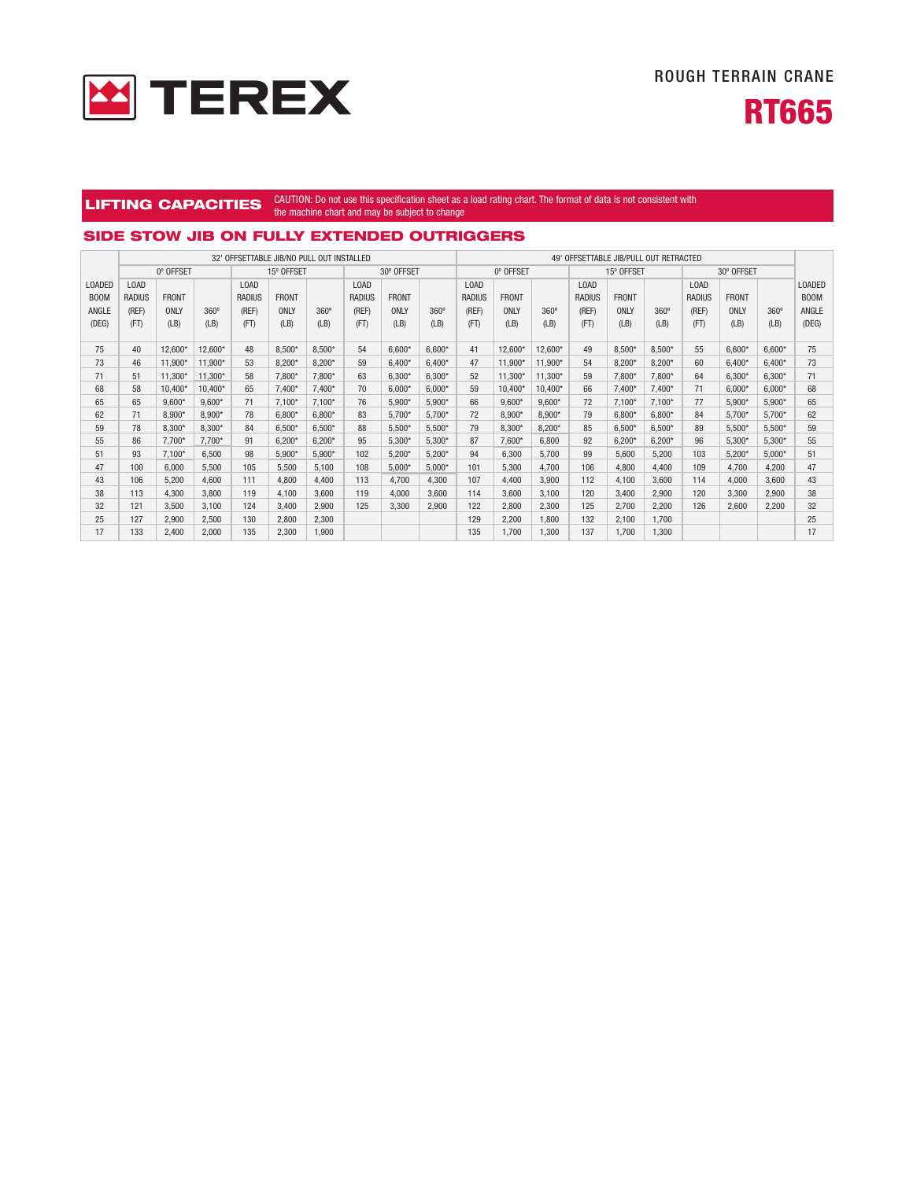



#### **LIFTING CAPACITIES** CAUTION: Do not use this specification sheet as a load rating chart. The format of data is not consistent with the machine chart and may be subject to change

### **SIDE STOW JIB ON FULLY EXTENDED OUTRIGGERS**

|                   |                               |              |             | 32' OFFSETTABLE JIB/NO PULL OUT INSTALLED |              |             |                               |              |             | 49' OFFSETTABLE JIB/PULL OUT RETRACTED |              |             |               |              |             |                               |              |             |                             |
|-------------------|-------------------------------|--------------|-------------|-------------------------------------------|--------------|-------------|-------------------------------|--------------|-------------|----------------------------------------|--------------|-------------|---------------|--------------|-------------|-------------------------------|--------------|-------------|-----------------------------|
|                   | 0° OFFSET                     |              |             |                                           | 15° OFFSET   |             |                               | 30° OFFSET   |             |                                        | 0° OFFSET    |             | 15° OFFSET    |              | 30° OFFSET  |                               |              |             |                             |
| <b>LOADED</b>     | L <sub>0</sub> A <sub>D</sub> |              |             | L <sub>0</sub> A <sub>D</sub>             |              |             | L <sub>0</sub> A <sub>D</sub> |              |             | L <sub>0</sub> A <sub>D</sub>          |              |             | <b>LOAD</b>   |              |             | L <sub>0</sub> A <sub>D</sub> |              |             | LOADED                      |
| B <sub>0</sub> 0M | <b>RADIUS</b>                 | <b>FRONT</b> |             | <b>RADIUS</b>                             | <b>FRONT</b> |             | <b>RADIUS</b>                 | <b>FRONT</b> |             | <b>RADIUS</b>                          | <b>FRONT</b> |             | <b>RADIUS</b> | <b>FRONT</b> |             | <b>RADIUS</b>                 | <b>FRONT</b> |             | B <sub>0</sub> <sub>M</sub> |
| ANGLE             | (REF)                         | ONLY         | $360^\circ$ | (REF)                                     | ONLY         | $360^\circ$ | (REF)                         | ONLY         | $360^\circ$ | (REF)                                  | ONLY         | $360^\circ$ | (REF)         | ONLY         | $360^\circ$ | (REF)                         | ONLY         | $360^\circ$ | ANGLE                       |
| (DEG)             | (FT)                          | (LB)         | (LB)        | (FT)                                      | (LB)         | (LB)        | (FT)                          | (LB)         | (LB)        | (FT)                                   | (LB)         | (LB)        | (FT)          | (LB)         | (LB)        | (FT)                          | (LB)         | (LB)        | (DEG)                       |
|                   |                               |              |             |                                           |              |             |                               |              |             |                                        |              |             |               |              |             |                               |              |             |                             |
| 75                | 40                            | 12.600*      | 12.600*     | 48                                        | $8.500*$     | $8.500*$    | 54                            | $6.600*$     | $6.600*$    | 41                                     | 12.600*      | 12.600*     | 49            | $8.500*$     | $8.500*$    | 55                            | $6.600*$     | $6.600*$    | 75                          |
| 73                | 46                            | 11,900*      | 11,900*     | 53                                        | 8,200*       | $8,200*$    | 59                            | 6.400        | $6.400*$    | 47                                     | 11,900*      | 11.900*     | 54            | $8,200*$     | $8,200*$    | 60                            | $6,400*$     | $6.400*$    | 73                          |
| 71                | 51                            | 11.300*      | 11.300*     | 58                                        | 7.800*       | $7.800*$    | 63                            | 6.300*       | $6.300*$    | 52                                     | 11.300*      | 11.300*     | 59            | $7.800*$     | $7.800*$    | 64                            | $6.300*$     | $6.300*$    | 71                          |
| 68                | 58                            | 10.400*      | 10.400*     | 65                                        | $7.400*$     | $7.400*$    | 70                            | $6.000*$     | $6.000*$    | 59                                     | 10.400*      | 10.400*     | 66            | $7.400*$     | $7.400*$    | 71                            | $6.000*$     | $6.000*$    | 68                          |
| 65                | 65                            | $9.600*$     | $9.600*$    | 71                                        | $7.100*$     | $7.100*$    | 76                            | 5.900*       | $5.900*$    | 66                                     | $9.600*$     | $9.600*$    | 72            | $7.100*$     | $7.100*$    | 77                            | $5.900*$     | $5.900*$    | 65                          |
| 62                | 71                            | $8.900*$     | $8.900*$    | 78                                        | $6.800*$     | $6.800*$    | 83                            | 5,700*       | 5.700*      | 72                                     | 8.900*       | $8.900*$    | 79            | $6.800*$     | $6.800*$    | 84                            | $5.700*$     | $5.700*$    | 62                          |
| 59                | 78                            | $8.300*$     | $8.300*$    | 84                                        | $6.500*$     | $6.500*$    | 88                            | $5.500*$     | $5.500*$    | 79                                     | 8.300*       | $8.200*$    | 85            | $6.500*$     | $6.500*$    | 89                            | $5.500*$     | $5.500*$    | 59                          |
| 55                | 86                            | $7.700*$     | $7.700*$    | 91                                        | $6.200*$     | $6.200*$    | 95                            | $5.300*$     | $5.300*$    | 87                                     | 7.600*       | 6.800       | 92            | $6.200*$     | $6.200*$    | 96                            | $5.300*$     | $5.300*$    | 55                          |
| 51                | 93                            | $7.100*$     | 6,500       | 98                                        | $5,900*$     | $5.900*$    | 102                           | $5,200*$     | $5.200*$    | 94                                     | 6.300        | 5.700       | 99            | 5.600        | 5,200       | 103                           | $5.200*$     | $5.000*$    | 51                          |
| 47                | 100                           | 6.000        | 5,500       | 105                                       | 5.500        | 5.100       | 108                           | $5,000*$     | $5,000*$    | 101                                    | 5.300        | 4.700       | 106           | 4,800        | 4,400       | 109                           | 4,700        | 4,200       | 47                          |
| 43                | 106                           | 5.200        | 4.600       | 111                                       | 4.800        | 4.400       | 113                           | 4.700        | 4.300       | 107                                    | 4.400        | 3.900       | 112           | 4.100        | 3.600       | 114                           | 4.000        | 3.600       | 43                          |
| 38                | 113                           | 4.300        | 3.800       | 119                                       | 4.100        | 3.600       | 119                           | 4.000        | 3.600       | 114                                    | 3.600        | 3.100       | 120           | 3.400        | 2,900       | 120                           | 3,300        | 2.900       | 38                          |
| 32                | 121                           | 3.500        | 3.100       | 124                                       | 3.400        | 2.900       | 125                           | 3.300        | 2,900       | 122                                    | 2.800        | 2.300       | 125           | 2,700        | 2,200       | 126                           | 2,600        | 2.200       | 32                          |
| 25                | 127                           | 2.900        | 2,500       | 130                                       | 2.800        | 2,300       |                               |              |             | 129                                    | 2.200        | 1.800       | 132           | 2,100        | 1.700       |                               |              |             | 25                          |
| 17                | 133                           | 2.400        | 2.000       | 135                                       | 2.300        | 1.900       |                               |              |             | 135                                    | 1.700        | 1.300       | 137           | 1.700        | 1.300       |                               |              |             | 17                          |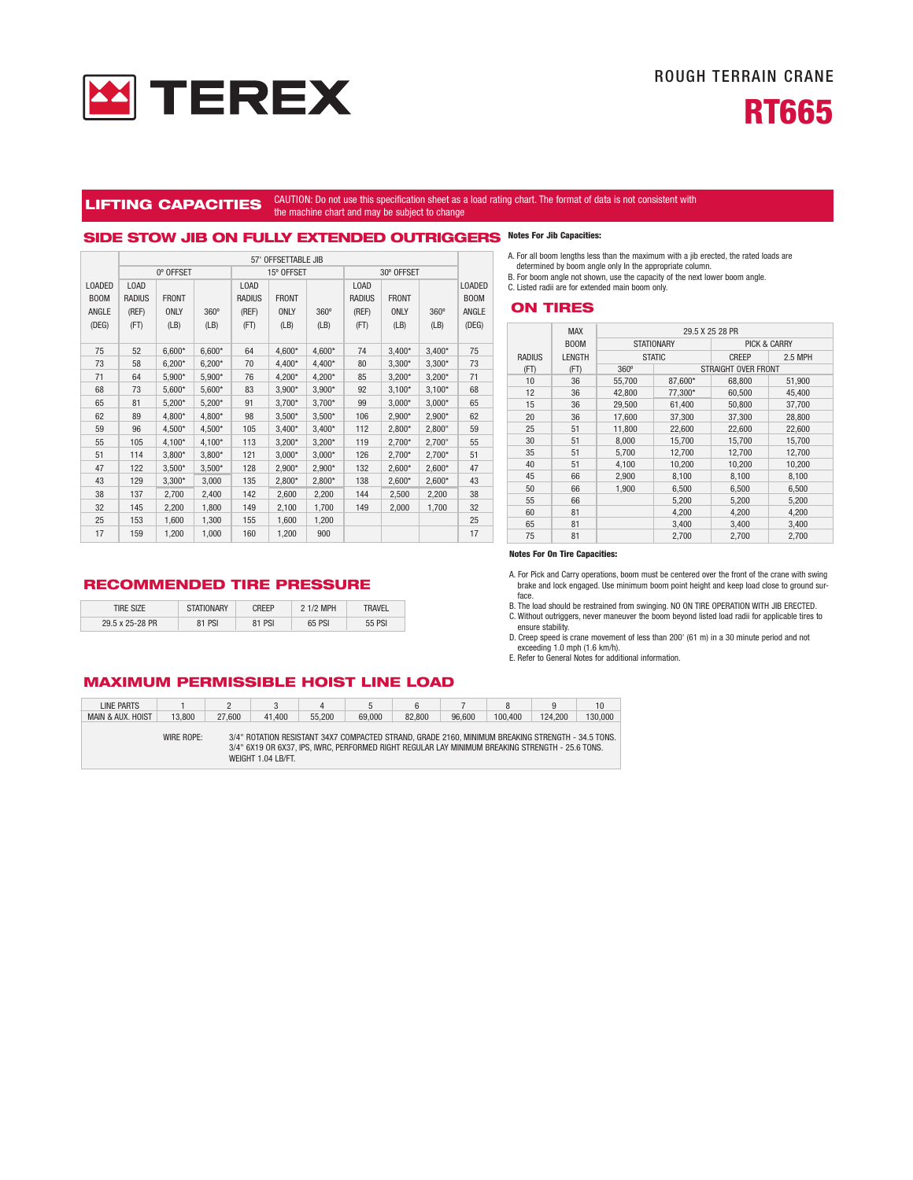



#### **LIFTING CAPACITIES** CAUTION: Do not use this specification sheet as a load rating chart. The format of data is not consistent with the machine chart and may be subject to change

# **SIDE STOW JIB ON FULLY EXTENDED OUTRIGGERS Notes For Jib Capacities:**

|               | 57' OFFSETTABLE JIB |              |             |               |              |             |               |              |          |               |  |
|---------------|---------------------|--------------|-------------|---------------|--------------|-------------|---------------|--------------|----------|---------------|--|
|               |                     | 0° OFFSET    |             |               | 15° OFFSET   |             | 30° OFFSET    |              |          |               |  |
| <b>LOADED</b> | LOAD                |              |             | LOAD          |              |             | LOAD          |              |          | <b>LOADED</b> |  |
| <b>BOOM</b>   | <b>RADIUS</b>       | <b>FRONT</b> |             | <b>RADIUS</b> | <b>FRONT</b> |             | <b>RADIUS</b> | <b>FRONT</b> |          | <b>BOOM</b>   |  |
| ANGLE         | (REF)               | <b>ONLY</b>  | $360^\circ$ | (REF)         | <b>ONLY</b>  | $360^\circ$ | (REF)         | <b>ONLY</b>  | 360°     | ANGLE         |  |
| (DEG)         | (FT)                | (LB)         | (LB)        | (FT)          | (LB)         | (LB)        | (FT)          | (LB)         | (LB)     | (DEG)         |  |
|               |                     |              |             |               |              |             |               |              |          |               |  |
| 75            | 52                  | $6,600*$     | $6,600*$    | 64            | 4,600*       | 4,600*      | 74            | $3,400*$     | $3,400*$ | 75            |  |
| 73            | 58                  | $6,200*$     | $6,200*$    | 70            | 4,400*       | 4,400*      | 80            | $3,300*$     | $3,300*$ | 73            |  |
| 71            | 64                  | 5,900*       | $5,900*$    | 76            | 4,200*       | 4,200*      | 85            | $3,200*$     | $3,200*$ | 71            |  |
| 68            | 73                  | $5,600*$     | $5,600*$    | 83            | $3,900*$     | $3,900*$    | 92            | $3,100*$     | $3,100*$ | 68            |  |
| 65            | 81                  | $5,200*$     | $5,200*$    | 91            | $3,700*$     | $3,700*$    | 99            | $3,000*$     | $3,000*$ | 65            |  |
| 62            | 89                  | 4,800*       | 4,800*      | 98            | $3,500*$     | $3,500*$    | 106           | 2,900*       | 2,900*   | 62            |  |
| 59            | 96                  | 4,500*       | 4,500*      | 105           | $3,400*$     | $3,400*$    | 112           | $2,800*$     | 2,800"   | 59            |  |
| 55            | 105                 | 4,100*       | 4,100*      | 113           | $3,200*$     | $3,200*$    | 119           | $2,700*$     | 2,700"   | 55            |  |
| 51            | 114                 | $3,800*$     | $3,800*$    | 121           | $3,000*$     | $3,000*$    | 126           | $2,700*$     | 2,700*   | 51            |  |
| 47            | 122                 | $3,500*$     | $3,500*$    | 128           | $2,900*$     | 2,900*      | 132           | $2,600*$     | $2,600*$ | 47            |  |
| 43            | 129                 | $3,300*$     | 3,000       | 135           | 2,800*       | $2,800*$    | 138           | $2,600*$     | $2,600*$ | 43            |  |
| 38            | 137                 | 2,700        | 2,400       | 142           | 2,600        | 2,200       | 144           | 2,500        | 2,200    | 38            |  |
| 32            | 145                 | 2,200        | 1,800       | 149           | 2,100        | 1,700       | 149           | 2,000        | 1,700    | 32            |  |
| 25            | 153                 | 1,600        | 1,300       | 155           | 1,600        | 1,200       |               |              |          | 25            |  |
| 17            | 159                 | 1,200        | 1,000       | 160           | 1,200        | 900         |               |              |          | 17            |  |

**RECOMMENDED TIRE PRESSURE**

| tire size       | <b>STATIONARY</b> | `RFFP  | 2 1/2 MPH | 'ravel |
|-----------------|-------------------|--------|-----------|--------|
| 29.5 x 25-28 PR | <b>81 PSI</b>     | 81 PSI | 65 PSI    | 55 PSI |

A. For all boom lengths less than the maximum with a jib erected, the rated loads are

determined by boom angle only In the appropriate column. B. For boom angle not shown, use the capacity of the next lower boom angle. C. Listed radii are for extended main boom only.

#### **ON TIRES**

|               | <b>MAX</b>    |             |                   | 29.5 X 25 28 PR     |                         |  |  |  |  |
|---------------|---------------|-------------|-------------------|---------------------|-------------------------|--|--|--|--|
|               | <b>BOOM</b>   |             | <b>STATIONARY</b> |                     | <b>PICK &amp; CARRY</b> |  |  |  |  |
| <b>RADIUS</b> | <b>LENGTH</b> |             | <b>STATIC</b>     | CREEP               | 2.5 MPH                 |  |  |  |  |
| (FT)          | (FT)          | $360^\circ$ |                   | STRAIGHT OVER FRONT |                         |  |  |  |  |
| 10            | 36            | 55.700      | 87.600*           | 68,800              | 51,900                  |  |  |  |  |
| 12            | 36            | 42.800      | 77,300*           | 60,500              | 45.400                  |  |  |  |  |
| 15            | 36            | 29.500      | 61.400            | 50,800              | 37.700                  |  |  |  |  |
| 20            | 36            | 17.600      | 37,300            | 37,300              | 28,800                  |  |  |  |  |
| 25            | 51            | 11,800      | 22,600            | 22,600              | 22,600                  |  |  |  |  |
| 30            | 51            | 8.000       | 15.700            | 15.700              | 15.700                  |  |  |  |  |
| 35            | 51            | 5.700       | 12,700            | 12,700              | 12,700                  |  |  |  |  |
| 40            | 51            | 4,100       | 10,200            | 10,200              | 10,200                  |  |  |  |  |
| 45            | 66            | 2.900       | 8.100             | 8.100               | 8,100                   |  |  |  |  |
| 50            | 66            | 1.900       | 6,500             | 6,500               | 6,500                   |  |  |  |  |
| 55            | 66            |             | 5,200             | 5,200               | 5,200                   |  |  |  |  |
| 60            | 81            |             | 4,200             | 4,200               | 4,200                   |  |  |  |  |
| 65            | 81            |             | 3,400             | 3,400               | 3,400                   |  |  |  |  |
| 75            | 81            |             | 2,700             | 2,700               | 2,700                   |  |  |  |  |

#### **Notes For On Tire Capacities:**

A. For Pick and Carry operations, boom must be centered over the front of the crane with swing brake and lock engaged. Use minimum boom point height and keep load close to ground surface.

B. The load should be restrained from swinging. NO ON TIRE OPERATION WITH JIB ERECTED.

C. Without outriggers, never maneuver the boom beyond listed load radii for applicable tires to ensure stability.

D. Creep speed is crane movement of less than 200' (61 m) in a 30 minute period and not exceeding 1.0 mph (1.6 km/h). E. Refer to General Notes for additional information.

## **MAXIMUM PERMISSIBLE HOIST LINE LOAD**

| LINE PARTS        |            |        |                    |        |                                                                                                   |        |        |         |         | 10      |
|-------------------|------------|--------|--------------------|--------|---------------------------------------------------------------------------------------------------|--------|--------|---------|---------|---------|
| MAIN & AUX, HOIST | 13,800     | 27,600 | 41.400             | 55,200 | 69.000                                                                                            | 82.800 | 96.600 | 100.400 | 124.200 | 130.000 |
|                   |            |        |                    |        |                                                                                                   |        |        |         |         |         |
|                   | WIRE ROPE: |        |                    |        | 3/4" ROTATION RESISTANT 34X7 COMPACTED STRAND, GRADE 2160. MINIMUM BREAKING STRENGTH - 34.5 TONS. |        |        |         |         |         |
|                   |            |        |                    |        | 3/4" 6X19 OR 6X37, IPS, IWRC, PERFORMED RIGHT REGULAR LAY MINIMUM BREAKING STRENGTH - 25.6 TONS.  |        |        |         |         |         |
|                   |            |        | WEIGHT 1.04 LB/FT. |        |                                                                                                   |        |        |         |         |         |